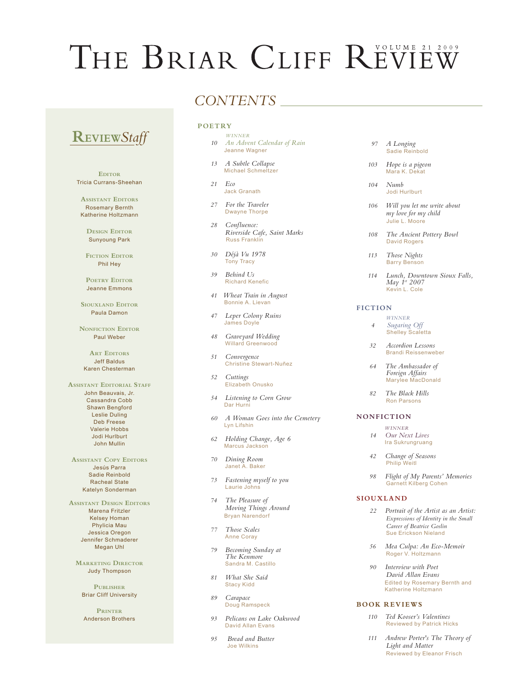# THE BRIAR CLIFF REVIEW

# **REVIEW***Staff*

**EDITOR** Tricia Currans-Sheehan

**Assistant Editors** Rosemary Bernth Katherine Holtzmann

**Design Editor** Sunyoung Park

**FICTION EDITOR** Phil Hey

POETRY EDITOR Jeanne Emmons

**Siouxland Editor** Paula Damon

**NONFICTION EDITOR** Paul Weber

**ART EDITORS** Jeff Baldus Karen Chesterman

**ASSISTANT EDITORIAL STAFF** John Beauvais, Jr. Cassandra Cobb Shawn Bengford Leslie Duling Deb Freese Valerie Hobbs Jodi Hurlburt John Mullin

**Assistant Copy Editors** Jesús Parra Sadie Reinbold Racheal State Katelyn Sonderman

**Assistant Design Editors** Marena Fritzler Kelsey Homan Phylicia Mau Jessica Oregon Jennifer Schmaderer Megan Uhl

**Marketing Director** Judy Thompson

**Publisher** Briar Cliff University

**Printer** Anderson Brothers

# *CONTENTS*

## **POETRY**

- *WINNER 10 An Advent Calendar of Rain* Jeanne Wagner
- *13 A Subtle Collapse*  Michael Schmeltzer
- *21 Eco* Jack Granath
- *27 For the Traveler*  **Dwayne Thorpe**
- *28 Confluence: Riverside Cafe, Saint Marks* Russ Franklin
- *30 Déjà Vu 1978* **Tony Tracy**
- *39 Behind Us* Richard Kenefic
- *41 Wheat Train in August* **Bonnie A. Lievan**
- *47 Leper Colony Ruins* James Doyle
- *48 Graveyard Wedding* Willard Greenwood
- *51 Convergence* Christine Stewart-Nuñez
- *52 Cuttings* Elizabeth Onusko
- *54 Listening to Corn Grow* Dar Hurni
- *60 A Woman Goes into the Cemetery* Lyn Lifshin
- *62 Holding Change, Age 6* Marcus Jackson
- *70 Dining Room* Janet A. Baker
- *73 Fastening myself to you* Laurie Johns
- *74 The Pleasure of Moving Things Around*  Bryan Narendorf
- *77 Those Scales* Anne Coray
- *79 Becoming Sunday at The Kenmore* Sandra M. Castillo
- *81 What She Said* **Stacy Kidd**
- *89 Carapace* Doug Ramspeck
- *93 Pelicans on Lake Oakwood* David Allan Evans
- *95 Bread and Butter* Joe Wilkins
- *97 A Longing* Sadie Reinbold
- *103 Hope is a pigeon* Mara K. Dekat
- *104 Numb*  Jodi Hurlburt
- *106 Will you let me write about my love for my child* Julie L. Moore
- *108 The Ancient Pottery Bowl* David Rogers
- *113 Those Nights* **Barry Benson**
- *114 Lunch, Downtown Sioux Falls, May 1st 2007* Kevin L. Cole

#### **FICTION**

- *WINNER 4 Sugaring Off* Shelley Scaletta
- *32 Accordion Lessons* Brandi Reissenweber
- *64 The Ambassador of Foreign Affairs* Marylee MacDonald
- *82 The Black Hills* Ron Parsons

#### **NONFICTION**

- *WINNER 14 Our Next Lives* Ira Sukrungruang
- *42 Change of Seasons* Philip Weitl
- *98 Flight of My Parents' Memories* Garnett Kilberg Cohen

#### **SIOUXLAND**

- *22 Portrait of the Artist as an Artist: Expressions of Identity in the Small Career of Beatrice Goslin* **Sue Erickson Nieland**
- *56 Mea Culpa: An Eco-Memoir* Roger V. Holtzmann
- *90 Interview with Poet David Allan Evans* Edited by Rosemary Bernth and Katherine Holtzmann

#### **BOOK R EVIEWS**

- *110 Ted Kooser's Valentines* Reviewed by Patrick Hicks
- *111 Andrew Porter's The Theory of Light and Matter* **Reviewed by Eleanor Frisch**